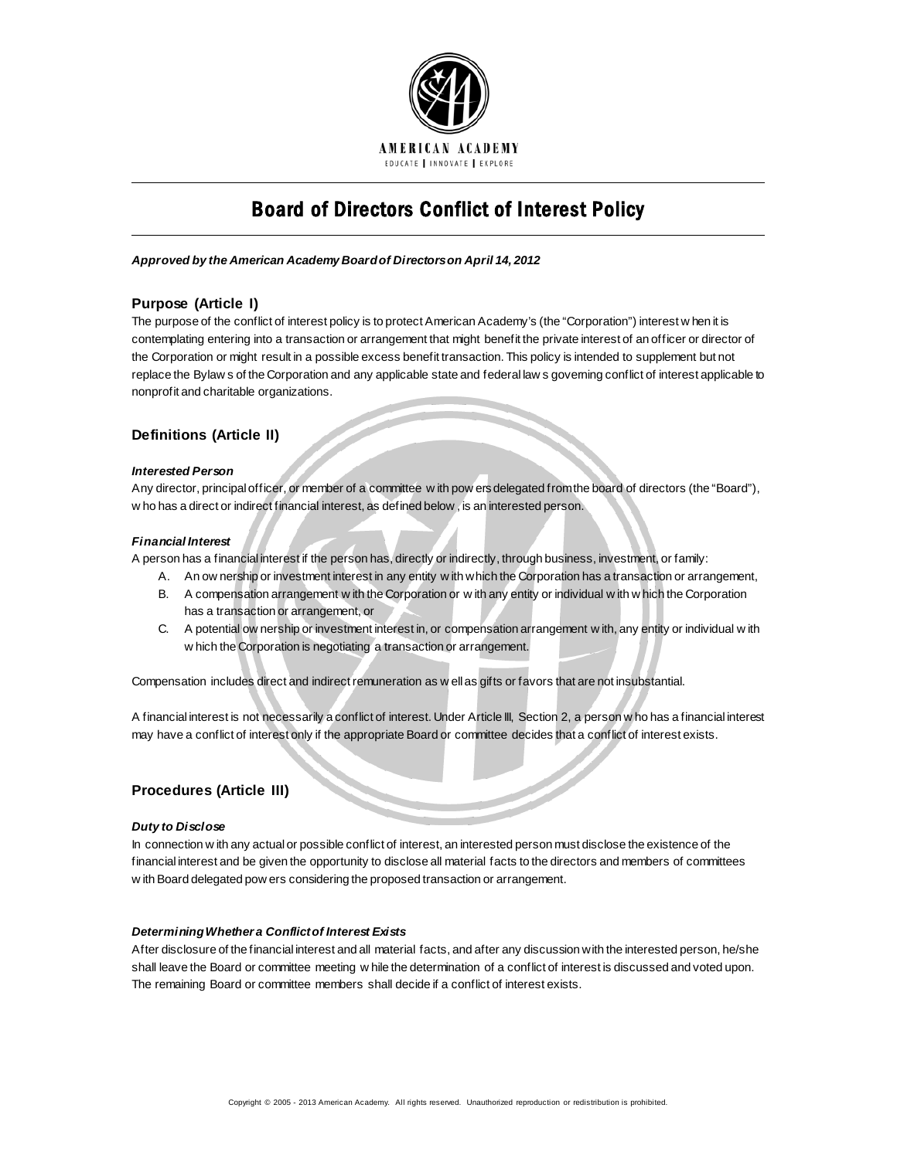

# Board of Directors Conflict of Interest Policy

#### *Approved by the American Academy Board of Directors on April 14, 2012*

# **Purpose (Article I)**

The purpose of the conflict of interest policy is to protect American Academy's (the "Corporation") interest w hen it is contemplating entering into a transaction or arrangement that might benefit the private interest of an officer or director of the Corporation or might result in a possible excess benefit transaction. This policy is intended to supplement but not replace the Bylaw s of the Corporation and any applicable state and federal law s governing conflict of interest applicable to nonprofit and charitable organizations.

# **Definitions (Article II)**

#### *Interested Person*

Any director, principal officer, or member of a committee w ith pow ers delegated from the board of directors (the "Board"), w ho has a direct or indirect financial interest, as defined below , is an interested person.

#### *Financial Interest*

A person has a financial interest if the person has, directly or indirectly, through business, investment, or family:

- A. An ow nership or investment interest in any entity w ith which the Corporation has a transaction or arrangement,
- B. A compensation arrangement w ith the Corporation or w ith any entity or individual w ith w hich the Corporation has a transaction or arrangement, or
- C. A potential ow nership or investment interest in, or compensation arrangement w ith, any entity or individual w ith w hich the Corporation is negotiating a transaction or arrangement.

Compensation includes direct and indirect remuneration as w ell as gifts or favors that are not insubstantial.

A financial interest is not necessarily a conflict of interest. Under Article III, Section 2, a person w ho has a financial interest may have a conflict of interest only if the appropriate Board or committee decides that a conflict of interest exists.

## **Procedures (Article III)**

#### *Duty to Disclose*

In connection w ith any actual or possible conflict of interest, an interested person must disclose the existence of the financial interest and be given the opportunity to disclose all material facts to the directors and members of committees w ith Board delegated pow ers considering the proposed transaction or arrangement.

## *Determining Whether a Conflict of Interest Exists*

After disclosure of the financial interest and all material facts, and after any discussion with the interested person, he/she shall leave the Board or committee meeting w hile the determination of a conflict of interest is discussed and voted upon. The remaining Board or committee members shall decide if a conflict of interest exists.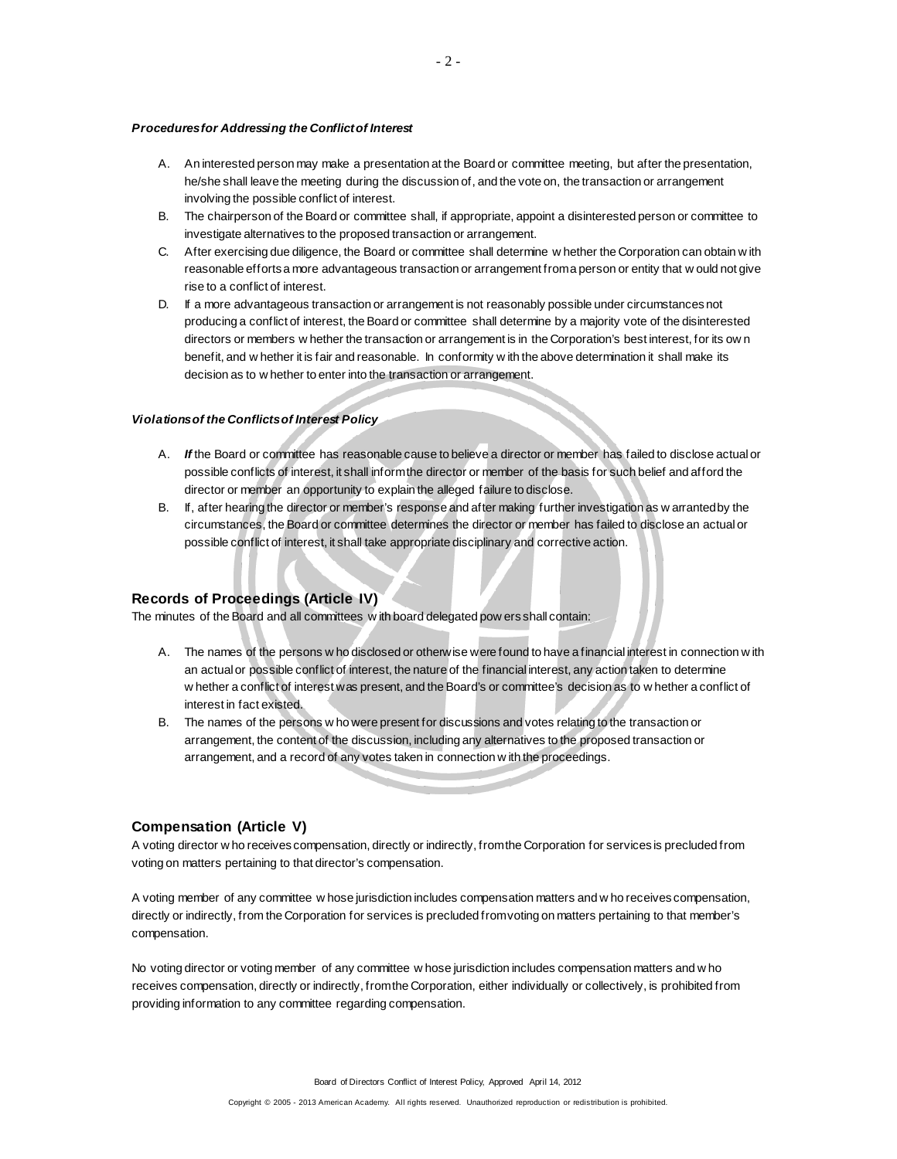#### *Procedures for Addressing the Conflict of Interest*

- A. An interested person may make a presentation at the Board or committee meeting, but after the presentation, he/she shall leave the meeting during the discussion of, and the vote on, the transaction or arrangement involving the possible conflict of interest.
- B. The chairperson of the Board or committee shall, if appropriate, appoint a disinterested person or committee to investigate alternatives to the proposed transaction or arrangement.
- C. After exercising due diligence, the Board or committee shall determine w hether the Corporation can obtain w ith reasonable efforts a more advantageous transaction or arrangement from a person or entity that w ould not give rise to a conflict of interest.
- D. If a more advantageous transaction or arrangement is not reasonably possible under circumstances not producing a conflict of interest, the Board or committee shall determine by a majority vote of the disinterested directors or members w hether the transaction or arrangement is in the Corporation's best interest, for its ow n benefit, and w hether it is fair and reasonable. In conformity w ith the above determination it shall make its decision as to w hether to enter into the transaction or arrangement.

### *Violations of the Conflicts of Interest Policy*

- A. *If* the Board or committee has reasonable cause to believe a director or member has failed to disclose actual or possible conflicts of interest, it shall inform the director or member of the basis for such belief and afford the director or member an opportunity to explain the alleged failure to disclose.
- B. If, after hearing the director or member's response and after making further investigation as w arranted by the circumstances, the Board or committee determines the director or member has failed to disclose an actual or possible conflict of interest, it shall take appropriate disciplinary and corrective action.

### **Records of Proceedings (Article IV)**

The minutes of the Board and all committees w ith board delegated pow ers shall contain:

- A. The names of the persons w ho disclosed or otherwise were found to have a financial interest in connection w ith an actual or possible conflict of interest, the nature of the financial interest, any action taken to determine w hether a conflict of interest was present, and the Board's or committee's decision as to w hether a conflict of interest in fact existed.
- B. The names of the persons w ho were present for discussions and votes relating to the transaction or arrangement, the content of the discussion, including any alternatives to the proposed transaction or arrangement, and a record of any votes taken in connection w ith the proceedings.

#### **Compensation (Article V)**

A voting director w ho receives compensation, directly or indirectly, from the Corporation for services is precluded from voting on matters pertaining to that director's compensation.

A voting member of any committee w hose jurisdiction includes compensation matters and w ho receives compensation, directly or indirectly, from the Corporation for services is precluded from voting on matters pertaining to that member's compensation.

No voting director or voting member of any committee w hose jurisdiction includes compensation matters and w ho receives compensation, directly or indirectly, from the Corporation, either individually or collectively, is prohibited from providing information to any committee regarding compensation.

Board of Directors Conflict of Interest Policy, Approved April 14, 2012